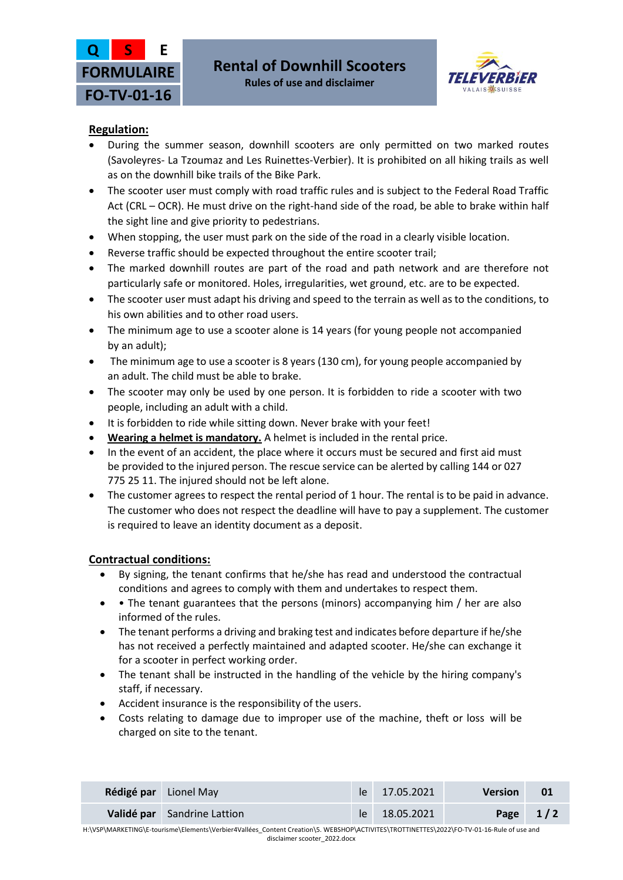



## **Rules of use and disclaimer**

# **Regulation:**

- During the summer season, downhill scooters are only permitted on two marked routes (Savoleyres- La Tzoumaz and Les Ruinettes-Verbier). It is prohibited on all hiking trails as well as on the downhill bike trails of the Bike Park.
- The scooter user must comply with road traffic rules and is subject to the Federal Road Traffic Act (CRL – OCR). He must drive on the right-hand side of the road, be able to brake within half the sight line and give priority to pedestrians.
- When stopping, the user must park on the side of the road in a clearly visible location.
- Reverse traffic should be expected throughout the entire scooter trail;
- The marked downhill routes are part of the road and path network and are therefore not particularly safe or monitored. Holes, irregularities, wet ground, etc. are to be expected.
- The scooter user must adapt his driving and speed to the terrain as well as to the conditions, to his own abilities and to other road users.
- The minimum age to use a scooter alone is 14 years (for young people not accompanied by an adult);
- The minimum age to use a scooter is 8 years (130 cm), for young people accompanied by an adult. The child must be able to brake.
- The scooter may only be used by one person. It is forbidden to ride a scooter with two people, including an adult with a child.
- It is forbidden to ride while sitting down. Never brake with your feet!
- **Wearing a helmet is mandatory.** A helmet is included in the rental price.
- In the event of an accident, the place where it occurs must be secured and first aid must be provided to the injured person. The rescue service can be alerted by calling 144 or 027 775 25 11. The injured should not be left alone.
- The customer agrees to respect the rental period of 1 hour. The rental is to be paid in advance. The customer who does not respect the deadline will have to pay a supplement. The customer is required to leave an identity document as a deposit.

## **Contractual conditions:**

- By signing, the tenant confirms that he/she has read and understood the contractual conditions and agrees to comply with them and undertakes to respect them.
- The tenant guarantees that the persons (minors) accompanying him / her are also informed of the rules.
- The tenant performs a driving and braking test and indicates before departure if he/she has not received a perfectly maintained and adapted scooter. He/she can exchange it for a scooter in perfect working order.
- The tenant shall be instructed in the handling of the vehicle by the hiring company's staff, if necessary.
- Accident insurance is the responsibility of the users.
- Costs relating to damage due to improper use of the machine, theft or loss will be charged on site to the tenant.

| Rédigé par Lionel May       | le 17.05.2021 | <b>Version</b> | -01        |
|-----------------------------|---------------|----------------|------------|
| Validé par Sandrine Lattion | le 18.05.2021 |                | Page $1/2$ |